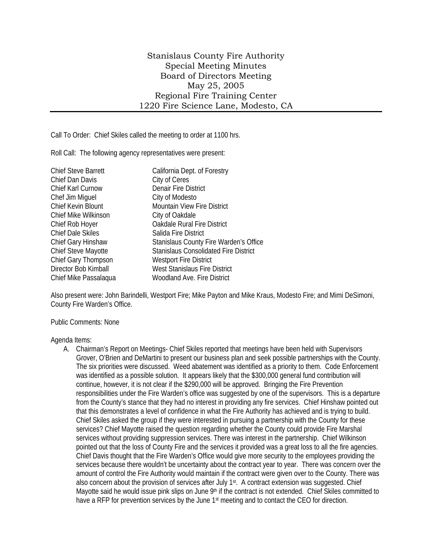Call To Order: Chief Skiles called the meeting to order at 1100 hrs.

Roll Call: The following agency representatives were present:

| <b>Chief Steve Barrett</b> | California Dept. of Forestry                 |
|----------------------------|----------------------------------------------|
| Chief Dan Davis            | City of Ceres                                |
| Chief Karl Curnow          | <b>Denair Fire District</b>                  |
| Chef Jim Miquel            | City of Modesto                              |
| Chief Kevin Blount         | <b>Mountain View Fire District</b>           |
| Chief Mike Wilkinson       | City of Oakdale                              |
| Chief Rob Hoyer            | <b>Oakdale Rural Fire District</b>           |
| <b>Chief Dale Skiles</b>   | Salida Fire District                         |
| <b>Chief Gary Hinshaw</b>  | Stanislaus County Fire Warden's Office       |
| <b>Chief Steve Mayotte</b> | <b>Stanislaus Consolidated Fire District</b> |
| Chief Gary Thompson        | <b>Westport Fire District</b>                |
| Director Bob Kimball       | West Stanislaus Fire District                |
| Chief Mike Passalaqua      | Woodland Ave. Fire District                  |

Also present were: John Barindelli, Westport Fire; Mike Payton and Mike Kraus, Modesto Fire; and Mimi DeSimoni, County Fire Warden's Office.

Public Comments: None

Agenda Items:

A. Chairman's Report on Meetings- Chief Skiles reported that meetings have been held with Supervisors Grover, O'Brien and DeMartini to present our business plan and seek possible partnerships with the County. The six priorities were discussed. Weed abatement was identified as a priority to them. Code Enforcement was identified as a possible solution. It appears likely that the \$300,000 general fund contribution will continue, however, it is not clear if the \$290,000 will be approved. Bringing the Fire Prevention responsibilities under the Fire Warden's office was suggested by one of the supervisors. This is a departure from the County's stance that they had no interest in providing any fire services. Chief Hinshaw pointed out that this demonstrates a level of confidence in what the Fire Authority has achieved and is trying to build. Chief Skiles asked the group if they were interested in pursuing a partnership with the County for these services? Chief Mayotte raised the question regarding whether the County could provide Fire Marshal services without providing suppression services. There was interest in the partnership. Chief Wilkinson pointed out that the loss of County Fire and the services it provided was a great loss to all the fire agencies. Chief Davis thought that the Fire Warden's Office would give more security to the employees providing the services because there wouldn't be uncertainty about the contract year to year. There was concern over the amount of control the Fire Authority would maintain if the contract were given over to the County. There was also concern about the provision of services after July 1<sup>st</sup>. A contract extension was suggested. Chief Mayotte said he would issue pink slips on June 9<sup>th</sup> if the contract is not extended. Chief Skiles committed to have a RFP for prevention services by the June 1<sup>st</sup> meeting and to contact the CEO for direction.